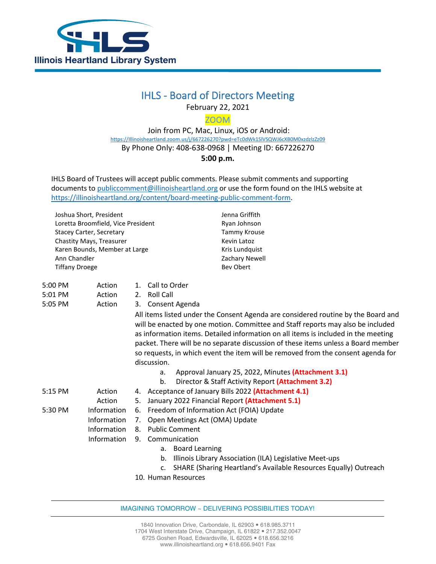

## IHLS - Board of Directors Meeting

February 22, 2021

ZOOM

 Join from PC, Mac, Linux, iOS or Android: [https://Illinoisheartland.zoom.us/j/667226270?pwd=eTc0dWk1SlVSQWJ6cXB0M0xzdzlzZz09](https://illinoisheartland.zoom.us/j/667226270?pwd=eTc0dWk1SlVSQWJ6cXB0M0xzdzlzZz09) By Phone Only: 408-638-0968 | Meeting ID: 667226270 **5:00 p.m.**

IHLS Board of Trustees will accept public comments. Please submit comments and supporting documents t[o publiccomment@illinoisheartland.org](mailto:publiccomment@illinoisheartland.org) or use the form found on the IHLS website at [https://illinoisheartland.org/content/board-meeting-public-comment-form.](https://illinoisheartland.org/content/board-meeting-public-comment-form)

Joshua Short, President Loretta Broomfield, Vice President Stacey Carter, Secretary Chastity Mays, Treasurer Karen Bounds, Member at Large Ann Chandler Tiffany Droege

Jenna Griffith Ryan Johnson Tammy Krouse Kevin Latoz Kris Lundquist Zachary Newell Bev Obert

| 5:00 PM | Action      | Call to Order<br>$\mathbf{1}$ .                                                                                                                                                                                                                                                                                                                                                                                                                    |
|---------|-------------|----------------------------------------------------------------------------------------------------------------------------------------------------------------------------------------------------------------------------------------------------------------------------------------------------------------------------------------------------------------------------------------------------------------------------------------------------|
| 5:01 PM | Action      | Roll Call<br>2.                                                                                                                                                                                                                                                                                                                                                                                                                                    |
| 5:05 PM | Action      | Consent Agenda<br>3.                                                                                                                                                                                                                                                                                                                                                                                                                               |
|         |             | All items listed under the Consent Agenda are considered routine by the Board and<br>will be enacted by one motion. Committee and Staff reports may also be included<br>as information items. Detailed information on all items is included in the meeting<br>packet. There will be no separate discussion of these items unless a Board member<br>so requests, in which event the item will be removed from the consent agenda for<br>discussion. |
|         |             | Approval January 25, 2022, Minutes (Attachment 3.1)<br>a.                                                                                                                                                                                                                                                                                                                                                                                          |
|         |             | Director & Staff Activity Report (Attachment 3.2)<br>b.                                                                                                                                                                                                                                                                                                                                                                                            |
| 5:15 PM | Action      | 4. Acceptance of January Bills 2022 (Attachment 4.1)                                                                                                                                                                                                                                                                                                                                                                                               |
|         | Action      | January 2022 Financial Report (Attachment 5.1)<br>5.                                                                                                                                                                                                                                                                                                                                                                                               |
| 5:30 PM | Information | Freedom of Information Act (FOIA) Update<br>6.                                                                                                                                                                                                                                                                                                                                                                                                     |
|         | Information | Open Meetings Act (OMA) Update<br>7.                                                                                                                                                                                                                                                                                                                                                                                                               |
|         | Information | <b>Public Comment</b><br>8.                                                                                                                                                                                                                                                                                                                                                                                                                        |
|         | Information | Communication<br>9.                                                                                                                                                                                                                                                                                                                                                                                                                                |
|         |             | <b>Board Learning</b><br>a.                                                                                                                                                                                                                                                                                                                                                                                                                        |
|         |             | Illinois Library Association (ILA) Legislative Meet-ups<br>b.                                                                                                                                                                                                                                                                                                                                                                                      |
|         |             | SHARE (Sharing Heartland's Available Resources Equally) Outreach<br>$\mathsf{C}$ .                                                                                                                                                                                                                                                                                                                                                                 |
|         |             | 10. Human Resources                                                                                                                                                                                                                                                                                                                                                                                                                                |

IMAGINING TOMORROW ~ DELIVERING POSSIBILITIES TODAY!

1840 Innovation Drive, Carbondale, IL 62903 · 618.985.3711 1704 West Interstate Drive, Champaign, IL 61822 . 217.352.0047 6725 Goshen Road, Edwardsville, IL 62025 618.656.3216 www.illinoisheartland.org · 618.656.9401 Fax